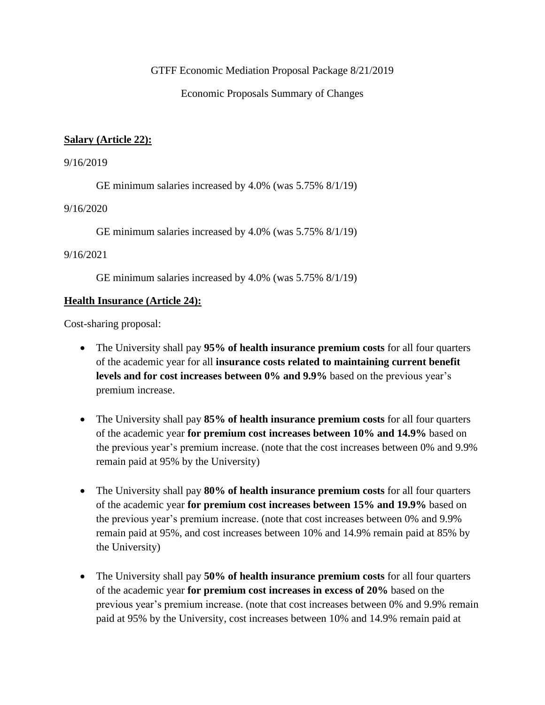GTFF Economic Mediation Proposal Package 8/21/2019

Economic Proposals Summary of Changes

### **Salary (Article 22):**

#### 9/16/2019

GE minimum salaries increased by 4.0% (was 5.75% 8/1/19)

#### 9/16/2020

GE minimum salaries increased by 4.0% (was 5.75% 8/1/19)

### 9/16/2021

GE minimum salaries increased by 4.0% (was 5.75% 8/1/19)

## **Health Insurance (Article 24):**

Cost-sharing proposal:

- The University shall pay **95% of health insurance premium costs** for all four quarters of the academic year for all **insurance costs related to maintaining current benefit levels and for cost increases between 0% and 9.9%** based on the previous year's premium increase.
- The University shall pay 85% of health insurance premium costs for all four quarters of the academic year **for premium cost increases between 10% and 14.9%** based on the previous year's premium increase. (note that the cost increases between 0% and 9.9% remain paid at 95% by the University)
- The University shall pay **80% of health insurance premium costs** for all four quarters of the academic year **for premium cost increases between 15% and 19.9%** based on the previous year's premium increase. (note that cost increases between 0% and 9.9% remain paid at 95%, and cost increases between 10% and 14.9% remain paid at 85% by the University)
- The University shall pay **50% of health insurance premium costs** for all four quarters of the academic year **for premium cost increases in excess of 20%** based on the previous year's premium increase. (note that cost increases between 0% and 9.9% remain paid at 95% by the University, cost increases between 10% and 14.9% remain paid at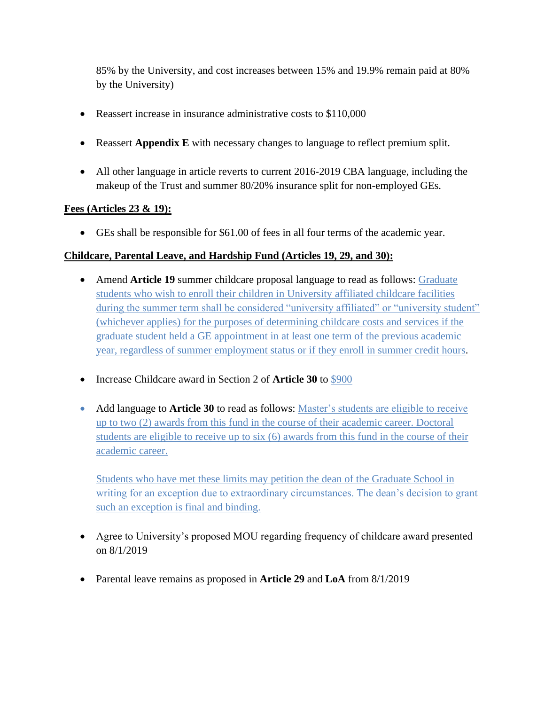85% by the University, and cost increases between 15% and 19.9% remain paid at 80% by the University)

- Reassert increase in insurance administrative costs to \$110,000
- Reassert **Appendix E** with necessary changes to language to reflect premium split.
- All other language in article reverts to current 2016-2019 CBA language, including the makeup of the Trust and summer 80/20% insurance split for non-employed GEs.

## **Fees (Articles 23 & 19):**

• GEs shall be responsible for \$61.00 of fees in all four terms of the academic year.

## **Childcare, Parental Leave, and Hardship Fund (Articles 19, 29, and 30):**

- Amend **Article 19** summer childcare proposal language to read as follows: Graduate students who wish to enroll their children in University affiliated childcare facilities during the summer term shall be considered "university affiliated" or "university student" (whichever applies) for the purposes of determining childcare costs and services if the graduate student held a GE appointment in at least one term of the previous academic year, regardless of summer employment status or if they enroll in summer credit hours.
- Increase Childcare award in Section 2 of **Article 30** to \$900
- Add language to **Article 30** to read as follows: Master's students are eligible to receive up to two (2) awards from this fund in the course of their academic career. Doctoral students are eligible to receive up to six (6) awards from this fund in the course of their academic career.

Students who have met these limits may petition the dean of the Graduate School in writing for an exception due to extraordinary circumstances. The dean's decision to grant such an exception is final and binding.

- Agree to University's proposed MOU regarding frequency of childcare award presented on 8/1/2019
- Parental leave remains as proposed in **Article 29** and **LoA** from 8/1/2019